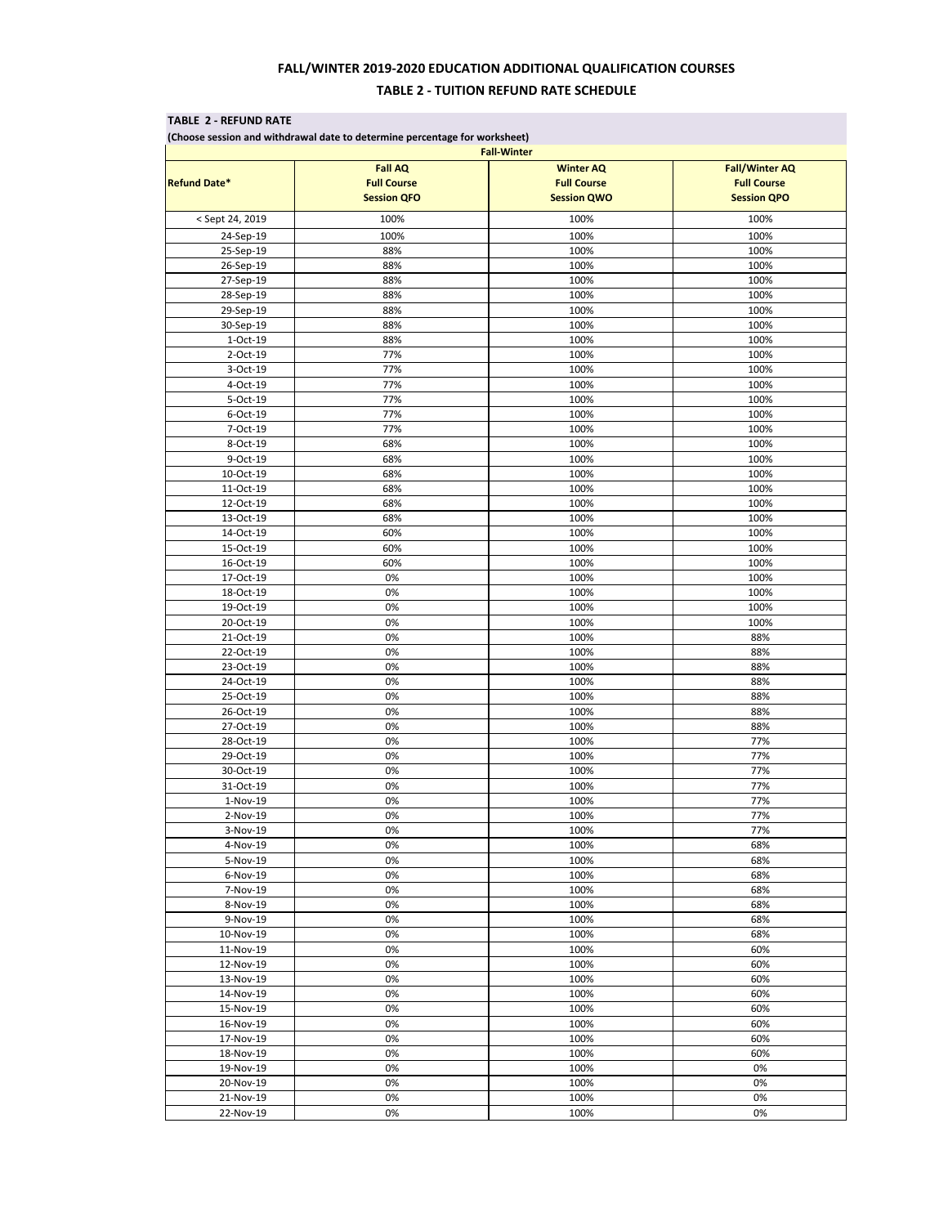## **FALL/WINTER 2019-2020 EDUCATION ADDITIONAL QUALIFICATION COURSES TABLE 2 - TUITION REFUND RATE SCHEDULE**

|                      |                                                            | <b>Fall-Winter</b><br><b>Winter AQ</b><br><b>Full Course</b><br><b>Session QWO</b> | <b>Fall/Winter AQ</b><br><b>Full Course</b><br><b>Session QPO</b> |
|----------------------|------------------------------------------------------------|------------------------------------------------------------------------------------|-------------------------------------------------------------------|
|                      | <b>Fall AQ</b><br><b>Full Course</b><br><b>Session QFO</b> |                                                                                    |                                                                   |
| <b>Refund Date*</b>  |                                                            |                                                                                    |                                                                   |
| < Sept 24, 2019      | 100%                                                       | 100%                                                                               | 100%                                                              |
| 24-Sep-19            | 100%                                                       | 100%                                                                               | 100%                                                              |
| 25-Sep-19            | 88%                                                        | 100%                                                                               | 100%                                                              |
| 26-Sep-19            | 88%                                                        | 100%                                                                               | 100%                                                              |
| 27-Sep-19            | 88%                                                        | 100%                                                                               | 100%                                                              |
| 28-Sep-19            | 88%                                                        | 100%                                                                               | 100%                                                              |
| 29-Sep-19            | 88%                                                        | 100%                                                                               | 100%                                                              |
| 30-Sep-19            | 88%                                                        | 100%                                                                               | 100%                                                              |
| 1-Oct-19             | 88%                                                        | 100%                                                                               | 100%                                                              |
| 2-Oct-19             | 77%                                                        | 100%                                                                               | 100%                                                              |
| 3-Oct-19             | 77%                                                        | 100%                                                                               | 100%                                                              |
| 4-Oct-19             | 77%                                                        | 100%                                                                               | 100%                                                              |
| 5-Oct-19             | 77%                                                        | 100%                                                                               | 100%                                                              |
| 6-Oct-19             | 77%                                                        | 100%                                                                               | 100%                                                              |
| 7-Oct-19             | 77%                                                        | 100%                                                                               | 100%                                                              |
| 8-Oct-19             | 68%                                                        | 100%                                                                               | 100%                                                              |
| 9-Oct-19             | 68%                                                        | 100%                                                                               | 100%                                                              |
| 10-Oct-19            | 68%                                                        | 100%                                                                               | 100%                                                              |
| 11-Oct-19            | 68%                                                        | 100%                                                                               | 100%                                                              |
| 12-Oct-19            | 68%                                                        | 100%                                                                               | 100%                                                              |
| 13-Oct-19            | 68%                                                        | 100%                                                                               | 100%                                                              |
| 14-Oct-19            | 60%                                                        | 100%                                                                               | 100%                                                              |
| 15-Oct-19            | 60%                                                        | 100%                                                                               | 100%                                                              |
| 16-Oct-19            | 60%                                                        | 100%                                                                               | 100%                                                              |
| 17-Oct-19            | 0%                                                         | 100%                                                                               | 100%                                                              |
| 18-Oct-19            | 0%                                                         | 100%                                                                               | 100%                                                              |
| 19-Oct-19            | 0%                                                         | 100%                                                                               | 100%                                                              |
|                      | 0%                                                         |                                                                                    |                                                                   |
| 20-Oct-19            | 0%                                                         | 100%                                                                               | 100%<br>88%                                                       |
| 21-Oct-19            | 0%                                                         | 100%                                                                               |                                                                   |
| 22-Oct-19            | 0%                                                         | 100%                                                                               | 88%                                                               |
| 23-Oct-19            | 0%                                                         | 100%<br>100%                                                                       | 88%<br>88%                                                        |
| 24-Oct-19            |                                                            |                                                                                    |                                                                   |
| 25-Oct-19            | 0%                                                         | 100%                                                                               | 88%                                                               |
| 26-Oct-19            | 0%                                                         | 100%                                                                               | 88%                                                               |
| 27-Oct-19            | 0%                                                         | 100%                                                                               | 88%                                                               |
| 28-Oct-19            | 0%<br>0%                                                   | 100%                                                                               | 77%                                                               |
| 29-Oct-19            |                                                            | 100%                                                                               | 77%                                                               |
| 30-Oct-19            | 0%                                                         | 100%                                                                               | 77%                                                               |
| 31-Oct-19            | 0%                                                         | 100%                                                                               | 77%                                                               |
| 1-Nov-19             | 0%                                                         | 100%                                                                               | 77%                                                               |
| 2-Nov-19             | 0%<br>0%                                                   | 100%                                                                               | 77%                                                               |
| 3-Nov-19             |                                                            | 100%                                                                               | 77%                                                               |
| 4-Nov-19             | 0%                                                         | 100%                                                                               | 68%                                                               |
| 5-Nov-19<br>6-Nov-19 | 0%                                                         | 100%                                                                               | 68%<br>68%                                                        |
|                      | 0%                                                         | 100%                                                                               |                                                                   |
| 7-Nov-19             | 0%                                                         | 100%                                                                               | 68%                                                               |
| 8-Nov-19             | 0%                                                         | 100%                                                                               | 68%                                                               |
| 9-Nov-19             | 0%                                                         | 100%                                                                               | 68%                                                               |
| 10-Nov-19            | 0%                                                         | 100%                                                                               | 68%                                                               |
| 11-Nov-19            | 0%                                                         | 100%                                                                               | 60%                                                               |
| 12-Nov-19            | 0%                                                         | 100%                                                                               | 60%                                                               |
| 13-Nov-19            | 0%                                                         | 100%                                                                               | 60%                                                               |
| 14-Nov-19            | 0%                                                         | 100%                                                                               | 60%                                                               |
| 15-Nov-19            | 0%                                                         | 100%                                                                               | 60%                                                               |
| 16-Nov-19            | 0%                                                         | 100%                                                                               | 60%                                                               |
| 17-Nov-19            | 0%                                                         | 100%                                                                               | 60%                                                               |
| 18-Nov-19            | 0%                                                         | 100%                                                                               | 60%                                                               |
| 19-Nov-19            | 0%                                                         | 100%                                                                               | 0%                                                                |
| 20-Nov-19            | 0%                                                         | 100%                                                                               | 0%                                                                |
| 21-Nov-19            | 0%                                                         | 100%                                                                               | 0%                                                                |
| 22-Nov-19            | 0%                                                         | 100%                                                                               | 0%                                                                |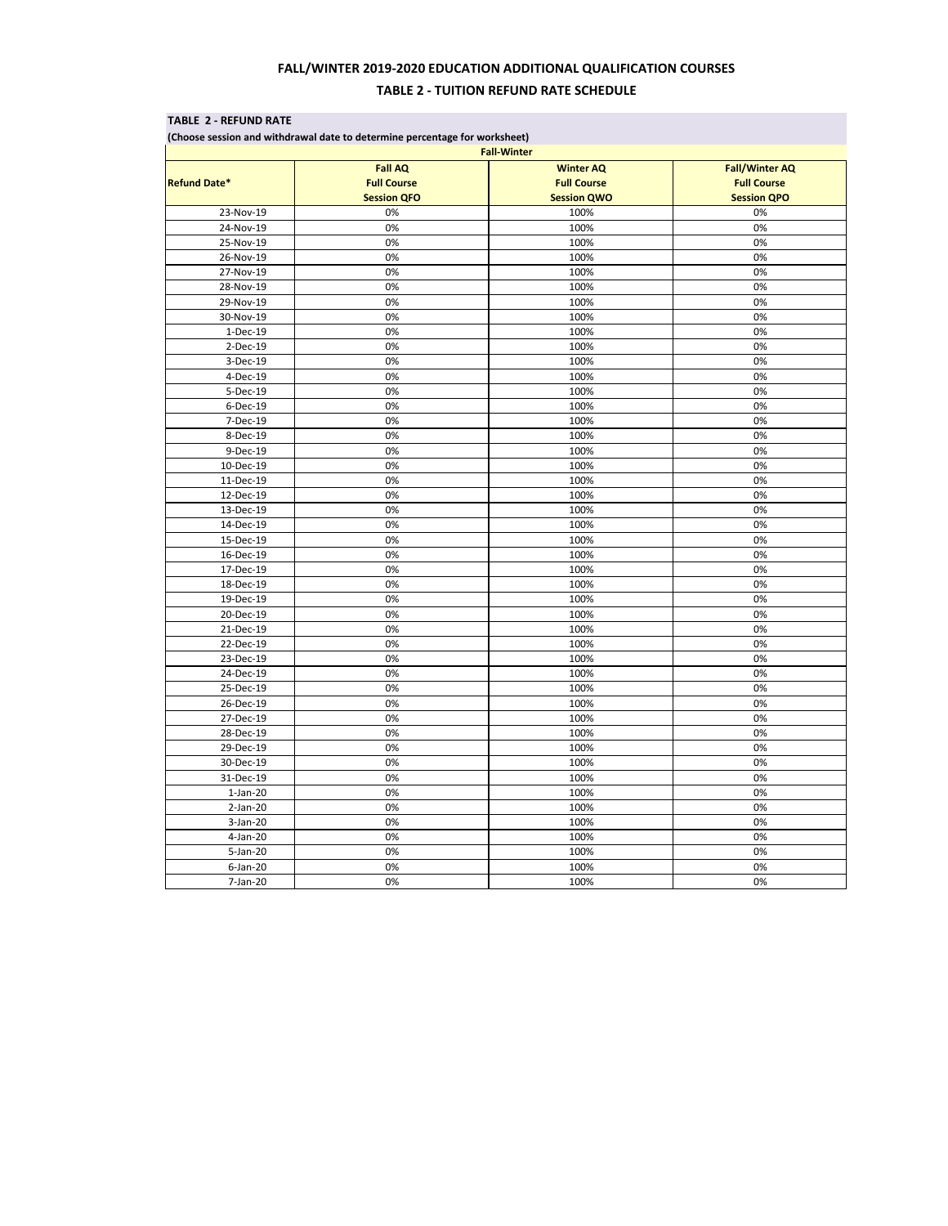## **FALL/WINTER 2019-2020 EDUCATION ADDITIONAL QUALIFICATION COURSES TABLE 2 - TUITION REFUND RATE SCHEDULE**

| (Choose session and withdrawal date to determine percentage for worksheet)<br><b>Fall-Winter</b> |           |      |      |    |  |  |
|--------------------------------------------------------------------------------------------------|-----------|------|------|----|--|--|
|                                                                                                  |           |      |      |    |  |  |
| <b>Refund Date*</b>                                                                              |           |      |      |    |  |  |
|                                                                                                  | 23-Nov-19 | 0%   | 100% | 0% |  |  |
| 24-Nov-19                                                                                        | 0%        | 100% | 0%   |    |  |  |
| 25-Nov-19                                                                                        | 0%        | 100% | 0%   |    |  |  |
| 26-Nov-19                                                                                        | 0%        | 100% | 0%   |    |  |  |
| 27-Nov-19                                                                                        | 0%        | 100% | 0%   |    |  |  |
| 28-Nov-19                                                                                        | 0%        | 100% | 0%   |    |  |  |
| 29-Nov-19                                                                                        | 0%        | 100% | 0%   |    |  |  |
| 30-Nov-19                                                                                        | 0%        | 100% | 0%   |    |  |  |
| 1-Dec-19                                                                                         | 0%        | 100% | 0%   |    |  |  |
| 2-Dec-19                                                                                         | 0%        | 100% | 0%   |    |  |  |
| 3-Dec-19                                                                                         | 0%        | 100% | 0%   |    |  |  |
| 4-Dec-19                                                                                         | 0%        | 100% | 0%   |    |  |  |
| 5-Dec-19                                                                                         | 0%        | 100% | 0%   |    |  |  |
| 6-Dec-19                                                                                         | 0%        | 100% | 0%   |    |  |  |
| 7-Dec-19                                                                                         | 0%        | 100% | 0%   |    |  |  |
| 8-Dec-19                                                                                         | 0%        | 100% | 0%   |    |  |  |
| 9-Dec-19                                                                                         | 0%        | 100% | 0%   |    |  |  |
| 10-Dec-19                                                                                        | 0%        | 100% | 0%   |    |  |  |
| 11-Dec-19                                                                                        | 0%        | 100% | 0%   |    |  |  |
| 12-Dec-19                                                                                        | 0%        | 100% | 0%   |    |  |  |
| 13-Dec-19                                                                                        | 0%        | 100% | 0%   |    |  |  |
| 14-Dec-19                                                                                        | 0%        | 100% | 0%   |    |  |  |
| 15-Dec-19                                                                                        | 0%        | 100% | 0%   |    |  |  |
| 16-Dec-19                                                                                        | 0%        | 100% | 0%   |    |  |  |
| 17-Dec-19                                                                                        | 0%        | 100% | 0%   |    |  |  |
| 18-Dec-19                                                                                        | 0%        | 100% | 0%   |    |  |  |
| 19-Dec-19                                                                                        | 0%        | 100% | 0%   |    |  |  |
| 20-Dec-19                                                                                        | 0%        | 100% | 0%   |    |  |  |
| 21-Dec-19                                                                                        | 0%        | 100% | 0%   |    |  |  |
| 22-Dec-19                                                                                        | 0%        | 100% | 0%   |    |  |  |
| 23-Dec-19                                                                                        | 0%        | 100% | 0%   |    |  |  |
| 24-Dec-19                                                                                        | 0%        | 100% | 0%   |    |  |  |
| 25-Dec-19                                                                                        | 0%        | 100% | 0%   |    |  |  |
| 26-Dec-19                                                                                        | 0%        | 100% | 0%   |    |  |  |
| 27-Dec-19                                                                                        | 0%        | 100% | 0%   |    |  |  |
| 28-Dec-19                                                                                        | 0%        | 100% | 0%   |    |  |  |
| 29-Dec-19                                                                                        | 0%        | 100% | 0%   |    |  |  |
| 30-Dec-19                                                                                        | 0%        | 100% | 0%   |    |  |  |
| 31-Dec-19                                                                                        | 0%        | 100% | 0%   |    |  |  |
| $1-Jan-20$                                                                                       | 0%        | 100% | 0%   |    |  |  |
| 2-Jan-20                                                                                         | 0%        | 100% | 0%   |    |  |  |
| $3-Jan-20$                                                                                       | 0%        | 100% | 0%   |    |  |  |
| 4-Jan-20                                                                                         | 0%        | 100% | 0%   |    |  |  |
| 5-Jan-20                                                                                         | 0%        | 100% | 0%   |    |  |  |
| $6$ -Jan-20                                                                                      | 0%        | 100% | 0%   |    |  |  |
| 7-Jan-20                                                                                         | 0%        | 100% | 0%   |    |  |  |